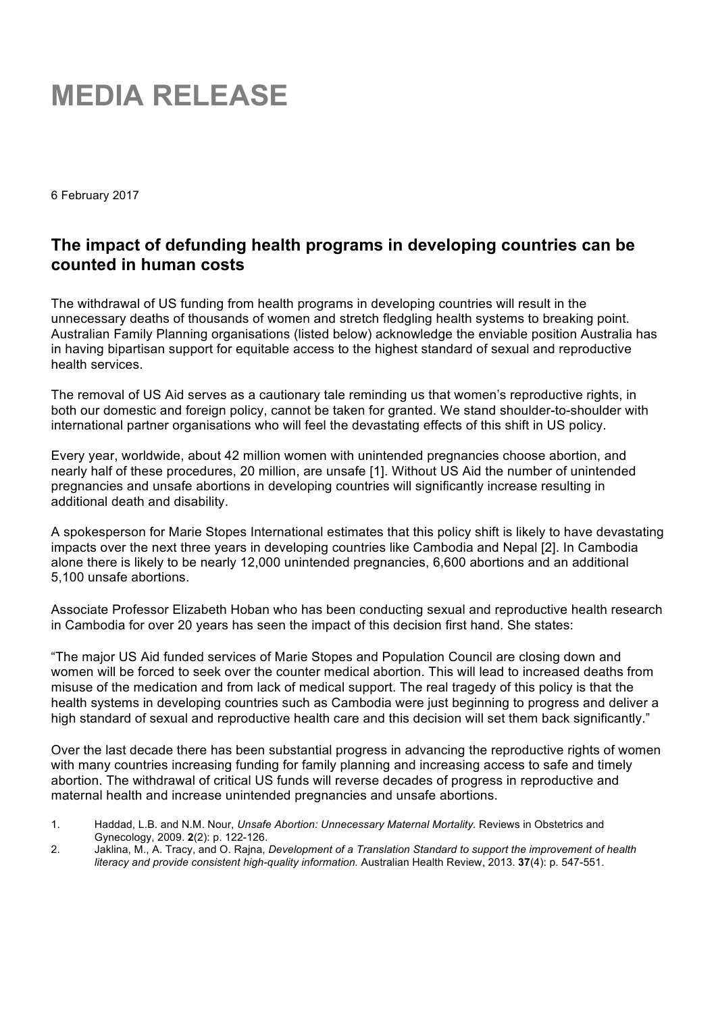## **MEDIA RELEASE**

6 February 2017

## **The impact of defunding health programs in developing countries can be counted in human costs**

The withdrawal of US funding from health programs in developing countries will result in the unnecessary deaths of thousands of women and stretch fledgling health systems to breaking point. Australian Family Planning organisations (listed below) acknowledge the enviable position Australia has in having bipartisan support for equitable access to the highest standard of sexual and reproductive health services.

The removal of US Aid serves as a cautionary tale reminding us that women's reproductive rights, in both our domestic and foreign policy, cannot be taken for granted. We stand shoulder-to-shoulder with international partner organisations who will feel the devastating effects of this shift in US policy.

Every year, worldwide, about 42 million women with unintended pregnancies choose abortion, and nearly half of these procedures, 20 million, are unsafe [1]. Without US Aid the number of unintended pregnancies and unsafe abortions in developing countries will significantly increase resulting in additional death and disability.

A spokesperson for Marie Stopes International estimates that this policy shift is likely to have devastating impacts over the next three years in developing countries like Cambodia and Nepal [2]. In Cambodia alone there is likely to be nearly 12,000 unintended pregnancies, 6,600 abortions and an additional 5,100 unsafe abortions.

Associate Professor Elizabeth Hoban who has been conducting sexual and reproductive health research in Cambodia for over 20 years has seen the impact of this decision first hand. She states:

"The major US Aid funded services of Marie Stopes and Population Council are closing down and women will be forced to seek over the counter medical abortion. This will lead to increased deaths from misuse of the medication and from lack of medical support. The real tragedy of this policy is that the health systems in developing countries such as Cambodia were just beginning to progress and deliver a high standard of sexual and reproductive health care and this decision will set them back significantly."

Over the last decade there has been substantial progress in advancing the reproductive rights of women with many countries increasing funding for family planning and increasing access to safe and timely abortion. The withdrawal of critical US funds will reverse decades of progress in reproductive and maternal health and increase unintended pregnancies and unsafe abortions.

- 1. Haddad, L.B. and N.M. Nour, *Unsafe Abortion: Unnecessary Maternal Mortality.* Reviews in Obstetrics and Gynecology, 2009. **2**(2): p. 122-126.
- 2. Jaklina, M., A. Tracy, and O. Rajna, *Development of a Translation Standard to support the improvement of health literacy and provide consistent high-quality information.* Australian Health Review, 2013. **37**(4): p. 547-551.